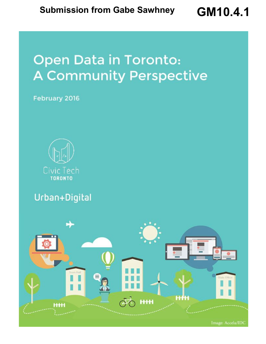# **Open Data in Toronto: A Community Perspective**

February 2016



Urban+Digital



Image: Accela/IDC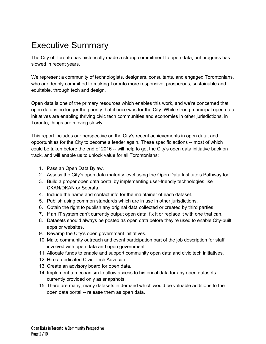## Executive Summary

The City of Toronto has historically made a strong commitment to open data, but progress has slowed in recent years.

We represent a community of technologists, designers, consultants, and engaged Torontonians, who are deeply committed to making Toronto more responsive, prosperous, sustainable and equitable, through tech and design.

Open data is one of the primary resources which enables this work, and we're concerned that open data is no longer the priority that it once was for the City. While strong municipal open data initiatives are enabling thriving civic tech communities and economies in other jurisdictions, in Toronto, things are moving slowly.

This report includes our perspective on the City's recent achievements in open data, and opportunities for the City to become a leader again. These specific actions -- most of which could be taken before the end of 2016 -- will help to get the City's open data initiative back on track, and will enable us to unlock value for all Torontonians:

- 1. Pass an Open Data Bylaw.
- 2. Assess the City's open data maturity level using the Open Data Institute's Pathway tool.
- 3. Build a proper open data portal by implementing user-friendly technologies like CKAN/DKAN or Socrata.
- 4. Include the name and contact info for the maintainer of each dataset.
- 5. Publish using common standards which are in use in other jurisdictions.
- 6. Obtain the right to publish any original data collected or created by third parties.
- 7. If an IT system can't currently output open data, fix it or replace it with one that can.
- 8. Datasets should always be posted as open data before they're used to enable City-built apps or websites.
- 9. Revamp the City's open government initiatives.
- 10. Make community outreach and event participation part of the job description for staff involved with open data and open government.
- 11. Allocate funds to enable and support community open data and civic tech initiatives.
- 12. Hire a dedicated Civic Tech Advocate.
- 13. Create an advisory board for open data.
- 14. Implement a mechanism to allow access to historical data for any open datasets currently provided only as snapshots.
- 15. There are many, many datasets in demand which would be valuable additions to the open data portal -- release them as open data.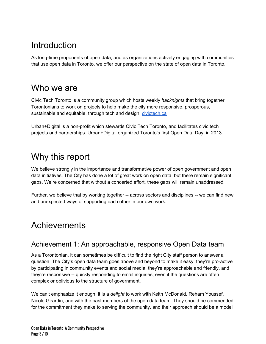### **Introduction**

As long-time proponents of open data, and as organizations actively engaging with communities that use open data in Toronto, we offer our perspective on the state of open data in Toronto.

### Who we are

Civic Tech Toronto is a community group which hosts weekly *hacknights* that bring together Torontonians to work on projects to help make the city more responsive, prosperous, sustainable and equitable, through tech and design. [civictech.ca](http://civictech.ca/)

Urban+Digital is a non-profit which stewards Civic Tech Toronto, and facilitates civic tech projects and partnerships. Urban+Digital organized Toronto's first Open Data Day, in 2013.

### Why this report

We believe strongly in the importance and transformative power of open government and open data initiatives. The City has done a lot of great work on open data, but there remain significant gaps. We're concerned that without a concerted effort, these gaps will remain unaddressed.

Further, we believe that by working together -- across sectors and disciplines -- we can find new and unexpected ways of supporting each other in our own work.

### **Achievements**

#### Achievement 1: An approachable, responsive Open Data team

As a Torontonian, it can sometimes be difficult to find the right City staff person to answer a question. The City's open data team goes above and beyond to make it easy: they're pro-active by participating in community events and social media, they're approachable and friendly, and they're responsive -- quickly responding to email inquiries, even if the questions are often complex or oblivious to the structure of government.

We can't emphasize it enough: it is a *delight* to work with Keith McDonald, Reham Youssef, Nicole Girardin, and with the past members of the open data team. They should be commended for the commitment they make to serving the community, and their approach should be a model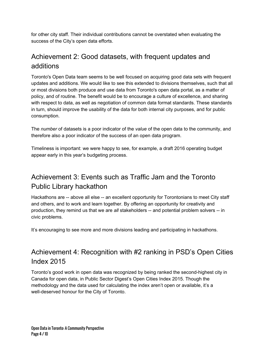for other city staff. Their individual contributions cannot be overstated when evaluating the success of the City's open data efforts.

#### Achievement 2: Good datasets, with frequent updates and additions

Toronto's Open Data team seems to be well focused on acquiring good data sets with frequent updates and additions. We would like to see this extended to divisions themselves, such that all or most divisions both produce and use data from Toronto's open data portal, as a matter of policy, and of routine. The benefit would be to encourage a culture of excellence, and sharing with respect to data, as well as negotiation of common data format standards. These standards in turn, should improve the usability of the data for both internal city purposes, and for public consumption.

The *number* of datasets is a poor indicator of the *value* of the open data to the community, and therefore also a poor indicator of the success of an open data program.

Timeliness is important: we were happy to see, for example, a draft 2016 operating budget appear early in this year's budgeting process.

#### Achievement 3: Events such as Traffic Jam and the Toronto Public Library hackathon

Hackathons are -- above all else -- an excellent opportunity for Torontonians to meet City staff and others, and to work and learn together. By offering an opportunity for creativity and production, they remind us that we are *all* stakeholders -- and potential problem solvers -- in civic problems.

It's encouraging to see more and more divisions leading and participating in hackathons.

#### Achievement 4: Recognition with #2 ranking in PSD's Open Cities Index 2015

Toronto's good work in open data was recognized by being ranked the second-highest city in Canada for open data, in Public Sector Digest's Open Cities Index 2015. Though the methodology and the data used for calculating the index aren't open or available, it's a well-deserved honour for the City of Toronto.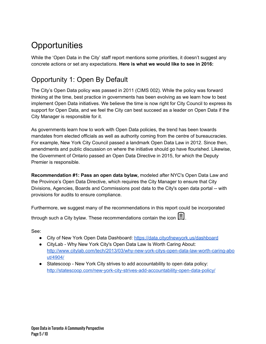## **Opportunities**

While the 'Open Data in the City' staff report mentions some priorities, it doesn't suggest any concrete actions or set any expectations. **Here is what we would like to see in 2016:**

#### Opportunity 1: Open By Default

The City's Open Data policy was passed in 2011 (CIMS 002). While the policy was forward thinking at the time, best practice in governments has been evolving as we learn how to best implement Open Data initiatives. We believe the time is now right for City Council to express its support for Open Data, and we feel the City can best succeed as a leader on Open Data if the City Manager is responsible for it.

As governments learn how to work with Open Data policies, the trend has been towards mandates from elected officials as well as authority coming from the centre of bureaucracies. For example, New York City Council passed a landmark Open Data Law in 2012. Since then, amendments and public discussion on where the initiative should go have flourished. Likewise, the Government of Ontario passed an Open Data Directive in 2015, for which the Deputy Premier is responsible.

**Recommendation #1: Pass an open data bylaw,** modeled after NYC's Open Data Law and the Province's Open Data Directive, which requires the City Manager to ensure that City Divisions, Agencies, Boards and Commissions post data to the City's open data portal -- with provisions for audits to ensure compliance.

Furthermore, we suggest many of the recommendations in this report could be incorporated

through such a City bylaw. These recommendations contain the icon  $\Xi$ .

See:

- City of New York Open Data Dashboard: <https://data.cityofnewyork.us/dashboard>
- CityLab Why New York City's Open Data Law Is Worth Caring About: http://www.citylab.com/tech/2013/03/why-new-york-citys-open-data-law-worth-caring-abo [ut/4904/](http://www.citylab.com/tech/2013/03/why-new-york-citys-open-data-law-worth-caring-about/4904/)
- Statescoop New York City strives to add accountability to open data policy: http://statescoop.com/new-york-city-strives-add-accountability-open-data-policy/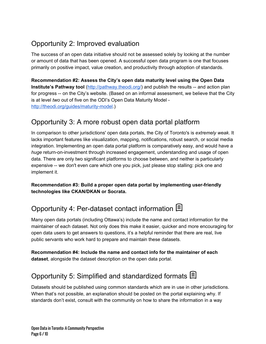#### Opportunity 2: Improved evaluation

The success of an open data initiative should not be assessed solely by looking at the number or amount of data that has been opened. A successful open data program is one that focuses primarily on positive impact, value creation, and productivity through adoption of standards.

**Recommendation #2: Assess the City's open data maturity level using the Open Data Institute's Pathway tool** [\(http://pathway.theodi.org/\)](http://pathway.theodi.org/) and publish the results -- and action plan for progress -- on the City's website. (Based on an informal assessment, we believe that the City is at level *two* out of five on the ODI's Open Data Maturity Model http://theodi.org/guides/maturity-model.)

#### Opportunity 3: A more robust open data portal platform

In comparison to other jurisdictions' open data portals, the City of Toronto's is *extremely weak*. It lacks important features like visualization, mapping, notifications, robust search, or social media integration. Implementing an open data portal platform is comparatively easy, and would have a *huge* return-on-investment through increased engagement, understanding and usage of open data. There are only two significant platforms to choose between, and neither is particularly expensive -- we don't even care which one you pick, just please stop stalling: pick one and implement it.

**Recommendation #3: Build a proper open data portal by implementing userfriendly technologies like CKAN/DKAN or Socrata.**

#### Opportunity 4: Per-dataset contact information **国**

Many open data portals (including Ottawa's) include the name and contact information for the maintainer of each dataset. Not only does this make it easier, quicker and more encouraging for open data users to get answers to questions, it's a helpful reminder that there are real, live public servants who work hard to prepare and maintain these datasets.

**Recommendation #4: Include the name and contact info for the maintainer of each dataset**, alongside the dataset description on the open data portal.

#### Opportunity 5: Simplified and standardized formats  $\Xi$

Datasets should be published using common standards which are in use in other jurisdictions. When that's not possible, an explanation should be posted on the portal explaining why. If standards don't exist, consult with the community on how to share the information in a way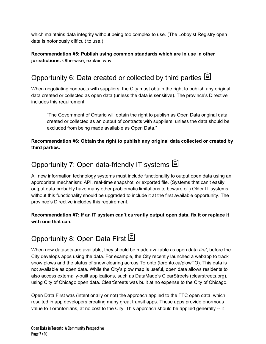which maintains data integrity without being too complex to use. (The Lobbyist Registry open data is notoriously difficult to use.)

**Recommendation #5: Publish using common standards which are in use in other jurisdictions.** Otherwise, explain why.

#### Opportunity 6: Data created or collected by third parties <sup>[3]</sup>

When negotiating contracts with suppliers, the City must obtain the right to publish any original data created or collected as open data (unless the data is sensitive). The province's Directive includes this requirement:

"The Government of Ontario will obtain the right to publish as Open Data original data created or collected as an output of contracts with suppliers, unless the data should be excluded from being made available as Open Data."

**Recommendation #6: Obtain the right to publish any original data collected or created by third parties.**

#### Opportunity 7: Open data-friendly IT systems  $\mathbf{\mathbb{B}}$

All new information technology systems must include functionality to output open data using an appropriate mechanism: API, real-time snapshot, or exported file. (Systems that can't easily output data probably have many other problematic limitations to beware of.) Older IT systems without this functionality should be upgraded to include it at the first available opportunity. The province's Directive includes this requirement.

**Recommendation #7: If an IT system can't currently output open data, fix it or replace it with one that can.**

### Opportunity 8: Open Data First <sup>2</sup>

When new datasets are available, they should be made available as open data *first*, before the City develops apps using the data. For example, the City recently launched a webapp to track snow plows and the status of snow clearing across Toronto (toronto.ca/plowTO). This data is not available as open data. While the City's plow map is useful, open data allows residents to also access externally-built applications, such as DataMade's ClearStreets (clearstreets.org), using City of Chicago open data. ClearStreets was built at no expense to the City of Chicago.

Open Data First was (intentionally or not) the approach applied to the TTC open data, which resulted in app developers creating many great transit apps. These apps provide enormous value to Torontonians, at no cost to the City. This approach should be applied generally -- it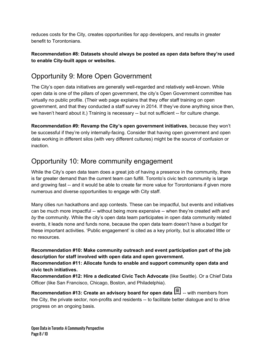reduces costs for the City, creates opportunities for app developers, and results in greater benefit to Torontonians.

#### **Recommendation #8: Datasets should always be posted as open data before they're used to** enable City-built apps or websites.

#### Opportunity 9: More Open Government

The City's open data initiatives are generally well-regarded and relatively well-known. While open data is one of the pillars of open government, the city's Open Government committee has virtually no public profile. (Their web page explains that they offer staff training on open government, and that they conducted a staff survey in 2014. If they've done anything since then, we haven't heard about it.) Training is necessary -- but not sufficient -- for culture change.

**Recommendation #9: Revamp the City's open government initiatives**, because they won't be successful if they're only internally-facing. Consider that having open government and open data working in different silos (with very different cultures) might be the source of confusion or inaction.

#### Opportunity 10: More community engagement

While the City's open data team does a great job of having a presence in the community, there is far greater demand than the current team can fulfill. Toronto's civic tech community is large and growing fast -- and it would be able to create far more value for Torontonians if given more numerous and diverse opportunities to engage with City staff.

Many cities run hackathons and app contests. These can be impactful, but events and initiatives can be much more impactful -- without being more expensive -- when they're created *with* and *by* the community. While the city's open data team participates in open data community related events, it leads none and funds none, because the open data team doesn't have a budget for these important activities. 'Public engagement' is cited as a key priority, but is allocated little or no resources.

#### **Recommendation #10: Make community outreach and event participation part of the job description for staff involved with open data and open government.**

**Recommendation #11: Allocate funds to enable and support community open data and civic tech initiatives.**

**Recommendation #12: Hire a dedicated Civic Tech Advocate**(like Seattle). Or a Chief Data Officer (like San Francisco, Chicago, Boston, and Philadelphia).

**Recommendation #13: Create an advisory board for open data** with members from the City, the private sector, non-profits and residents -- to facilitate better dialogue and to drive progress on an ongoing basis.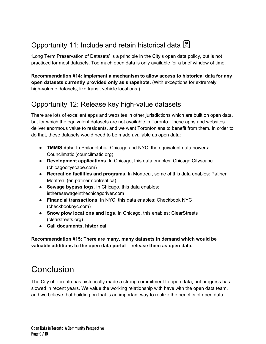#### Opportunity 11: Include and retain historical data **国**

'Long Term Preservation of Datasets' is a principle in the City's open data policy, but is not practiced for most datasets. Too much open data is only available for a brief window of time.

**Recommendation #14: Implement a mechanism to allow access to historical data for any open datasets currently provided only as snapshots.**(With exceptions for extremely high-volume datasets, like transit vehicle locations.)

#### Opportunity 12: Release key high-value datasets

There are lots of excellent apps and websites in other jurisdictions which are built on open data, but for which the equivalent datasets are not available in Toronto. These apps and websites deliver enormous value to residents, and we want Torontonians to benefit from them. In order to do that, these datasets would need to be made available as open data:

- **TMMIS data**. In Philadelphia, Chicago and NYC, the equivalent data powers: Councilmatic (councilmatic.org)
- **Development applications**.In Chicago, this data enables: Chicago Cityscape (chicagocityscape.com)
- **Recreation facilities and programs**.In Montreal, some of this data enables: Patiner Montreal (en.patinermontreal.ca)
- **Sewage bypass logs**. In Chicago, this data enables: istheresewageinthechicagoriver.com
- **Financial transactions**.In NYC, this data enables: Checkbook NYC (checkbooknyc.com)
- **Snow plow locations and logs**.In Chicago, this enables: ClearStreets (clearstreets.org)
- **● Call documents, historical.**

**Recommendation #15: There are many, many datasets in demand which would be valuable additions to the open data portal release them as open data.**

### **Conclusion**

The City of Toronto has historically made a strong commitment to open data, but progress has slowed in recent years. We value the working relationship with have with the open data team, and we believe that building on that is an important way to realize the benefits of open data.